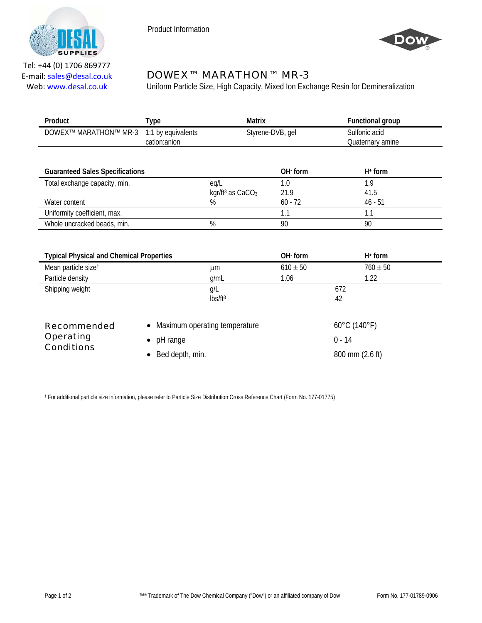

Product Information



Tel: +44 (0) 1706 869777 E‐mail: sales@desal.co.uk Web: www.desal.co.uk

## DOWEX™ MARATHON™ MR-3

Uniform Particle Size, High Capacity, Mixed Ion Exchange Resin for Demineralization

| Product                                                     | <b>Type</b>                        | <b>Matrix</b>                                    |                  | <b>Functional group</b>                       |  |
|-------------------------------------------------------------|------------------------------------|--------------------------------------------------|------------------|-----------------------------------------------|--|
| DOWEX™ MARATHON™ MR-3                                       | 1:1 by equivalents<br>cation:anion |                                                  | Styrene-DVB, gel | Sulfonic acid<br>Quaternary amine             |  |
| <b>Guaranteed Sales Specifications</b>                      |                                    |                                                  | OH form          | $H+$ form                                     |  |
| Total exchange capacity, min.                               |                                    | eq/L<br>kgr/ft <sup>3</sup> as CaCO <sub>3</sub> | 1.0<br>21.9      | 1.9<br>41.5                                   |  |
| Water content                                               |                                    | %                                                | $60 - 72$        | $46 - 51$                                     |  |
| Uniformity coefficient, max.                                |                                    |                                                  | 1.1              | 1.1                                           |  |
| Whole uncracked beads, min.                                 |                                    | %                                                | 90               | 90                                            |  |
| <b>Typical Physical and Chemical Properties</b>             |                                    |                                                  | OH form          | $H+$ form                                     |  |
| Mean particle size <sup>t</sup>                             |                                    | μm                                               | $610 \pm 50$     | $760 \pm 50$                                  |  |
| Particle density                                            |                                    | g/mL                                             | 1.06             | 1.22                                          |  |
| Shipping weight                                             |                                    | g/L<br>lbs/ft <sup>3</sup>                       |                  | 672<br>42                                     |  |
| <b>Recommended</b><br><b>Operating</b><br><b>Conditions</b> | pH range<br>$\bullet$              | Maximum operating temperature                    |                  | $60^{\circ}$ C (140 $^{\circ}$ F)<br>$0 - 14$ |  |
|                                                             | Bed depth, min.<br>$\bullet$       |                                                  | 800 mm (2.6 ft)  |                                               |  |

† For additional particle size information, please refer to Particle Size Distribution Cross Reference Chart (Form No. 177-01775)